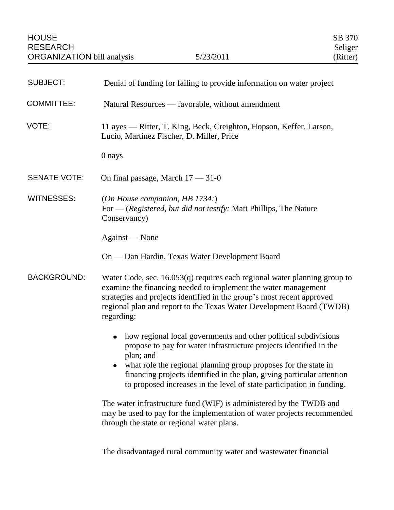| <b>SUBJECT:</b>     | Denial of funding for failing to provide information on water project                                                                                                                                                                                                                                                                                                                 |
|---------------------|---------------------------------------------------------------------------------------------------------------------------------------------------------------------------------------------------------------------------------------------------------------------------------------------------------------------------------------------------------------------------------------|
| <b>COMMITTEE:</b>   | Natural Resources — favorable, without amendment                                                                                                                                                                                                                                                                                                                                      |
| VOTE:               | 11 ayes — Ritter, T. King, Beck, Creighton, Hopson, Keffer, Larson,<br>Lucio, Martinez Fischer, D. Miller, Price                                                                                                                                                                                                                                                                      |
|                     | 0 nays                                                                                                                                                                                                                                                                                                                                                                                |
| <b>SENATE VOTE:</b> | On final passage, March $17 - 31 - 0$                                                                                                                                                                                                                                                                                                                                                 |
| <b>WITNESSES:</b>   | (On House companion, HB 1734:)<br>For — (Registered, but did not testify: Matt Phillips, The Nature<br>Conservancy)                                                                                                                                                                                                                                                                   |
|                     | Against — None                                                                                                                                                                                                                                                                                                                                                                        |
|                     | On — Dan Hardin, Texas Water Development Board                                                                                                                                                                                                                                                                                                                                        |
| <b>BACKGROUND:</b>  | Water Code, sec. 16.053(q) requires each regional water planning group to<br>examine the financing needed to implement the water management<br>strategies and projects identified in the group's most recent approved<br>regional plan and report to the Texas Water Development Board (TWDB)<br>regarding:                                                                           |
|                     | how regional local governments and other political subdivisions<br>$\bullet$<br>propose to pay for water infrastructure projects identified in the<br>plan; and<br>what role the regional planning group proposes for the state in<br>financing projects identified in the plan, giving particular attention<br>to proposed increases in the level of state participation in funding. |
|                     | The water infrastructure fund (WIF) is administered by the TWDB and<br>may be used to pay for the implementation of water projects recommended<br>through the state or regional water plans.                                                                                                                                                                                          |
|                     | The disadvantaged rural community water and wastewater financial                                                                                                                                                                                                                                                                                                                      |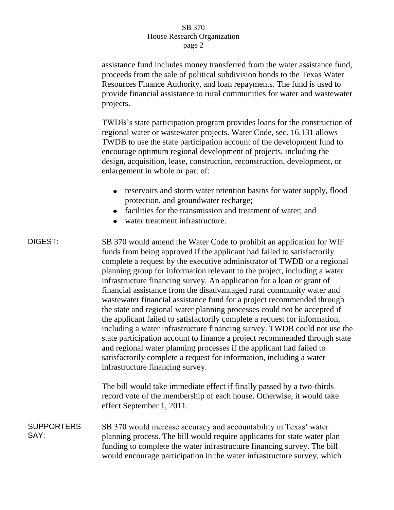## SB 370 House Research Organization page 2

|                           | assistance fund includes money transferred from the water assistance fund,<br>proceeds from the sale of political subdivision bonds to the Texas Water<br>Resources Finance Authority, and loan repayments. The fund is used to<br>provide financial assistance to rural communities for water and wastewater<br>projects.                                                                                                                                                                                                                                                                                                                                                                                                                                                                                                                                                                                                                                                                                                                    |
|---------------------------|-----------------------------------------------------------------------------------------------------------------------------------------------------------------------------------------------------------------------------------------------------------------------------------------------------------------------------------------------------------------------------------------------------------------------------------------------------------------------------------------------------------------------------------------------------------------------------------------------------------------------------------------------------------------------------------------------------------------------------------------------------------------------------------------------------------------------------------------------------------------------------------------------------------------------------------------------------------------------------------------------------------------------------------------------|
|                           | TWDB's state participation program provides loans for the construction of<br>regional water or wastewater projects. Water Code, sec. 16.131 allows<br>TWDB to use the state participation account of the development fund to<br>encourage optimum regional development of projects, including the<br>design, acquisition, lease, construction, reconstruction, development, or<br>enlargement in whole or part of:                                                                                                                                                                                                                                                                                                                                                                                                                                                                                                                                                                                                                            |
|                           | reservoirs and storm water retention basins for water supply, flood<br>protection, and groundwater recharge;<br>facilities for the transmission and treatment of water; and<br>water treatment infrastructure.                                                                                                                                                                                                                                                                                                                                                                                                                                                                                                                                                                                                                                                                                                                                                                                                                                |
| DIGEST:                   | SB 370 would amend the Water Code to prohibit an application for WIF<br>funds from being approved if the applicant had failed to satisfactorily<br>complete a request by the executive administrator of TWDB or a regional<br>planning group for information relevant to the project, including a water<br>infrastructure financing survey. An application for a loan or grant of<br>financial assistance from the disadvantaged rural community water and<br>wastewater financial assistance fund for a project recommended through<br>the state and regional water planning processes could not be accepted if<br>the applicant failed to satisfactorily complete a request for information,<br>including a water infrastructure financing survey. TWDB could not use the<br>state participation account to finance a project recommended through state<br>and regional water planning processes if the applicant had failed to<br>satisfactorily complete a request for information, including a water<br>infrastructure financing survey. |
|                           | The bill would take immediate effect if finally passed by a two-thirds<br>record vote of the membership of each house. Otherwise, it would take<br>effect September 1, 2011.                                                                                                                                                                                                                                                                                                                                                                                                                                                                                                                                                                                                                                                                                                                                                                                                                                                                  |
| <b>SUPPORTERS</b><br>SAY: | SB 370 would increase accuracy and accountability in Texas' water<br>planning process. The bill would require applicants for state water plan<br>funding to complete the water infrastructure financing survey. The bill<br>would encourage participation in the water infrastructure survey, which                                                                                                                                                                                                                                                                                                                                                                                                                                                                                                                                                                                                                                                                                                                                           |